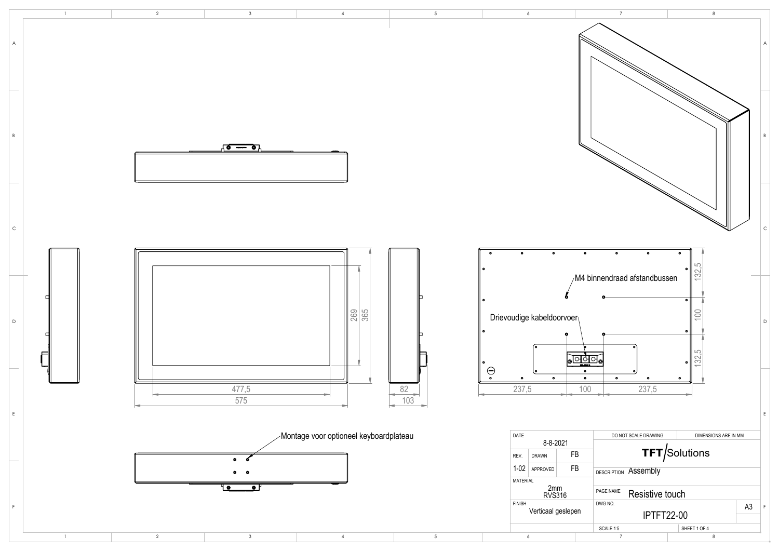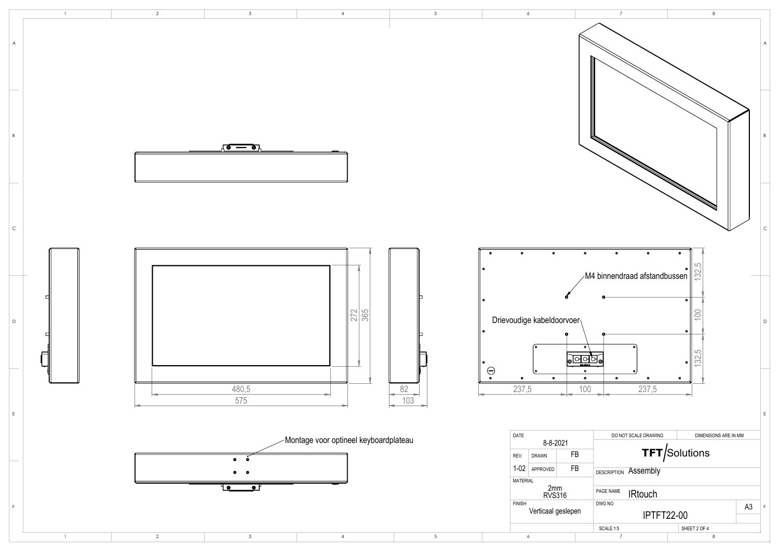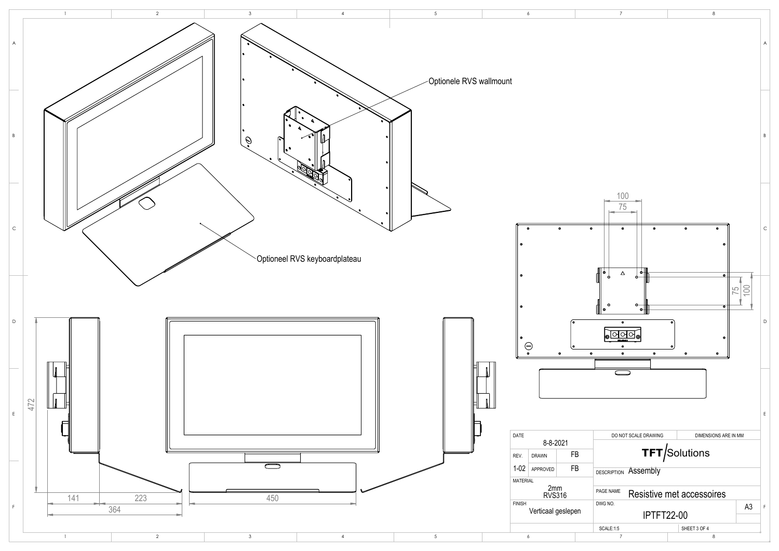